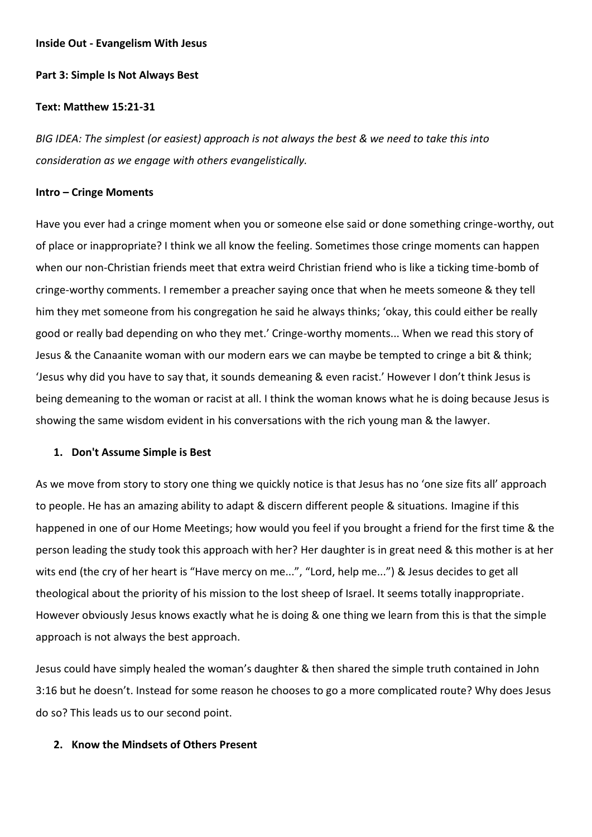#### **Inside Out - Evangelism With Jesus**

## **Part 3: Simple Is Not Always Best**

#### **Text: Matthew 15:21-31**

*BIG IDEA: The simplest (or easiest) approach is not always the best & we need to take this into consideration as we engage with others evangelistically.* 

### **Intro – Cringe Moments**

Have you ever had a cringe moment when you or someone else said or done something cringe-worthy, out of place or inappropriate? I think we all know the feeling. Sometimes those cringe moments can happen when our non-Christian friends meet that extra weird Christian friend who is like a ticking time-bomb of cringe-worthy comments. I remember a preacher saying once that when he meets someone & they tell him they met someone from his congregation he said he always thinks; 'okay, this could either be really good or really bad depending on who they met.' Cringe-worthy moments... When we read this story of Jesus & the Canaanite woman with our modern ears we can maybe be tempted to cringe a bit & think; 'Jesus why did you have to say that, it sounds demeaning & even racist.' However I don't think Jesus is being demeaning to the woman or racist at all. I think the woman knows what he is doing because Jesus is showing the same wisdom evident in his conversations with the rich young man & the lawyer.

## **1. Don't Assume Simple is Best**

As we move from story to story one thing we quickly notice is that Jesus has no 'one size fits all' approach to people. He has an amazing ability to adapt & discern different people & situations. Imagine if this happened in one of our Home Meetings; how would you feel if you brought a friend for the first time & the person leading the study took this approach with her? Her daughter is in great need & this mother is at her wits end (the cry of her heart is "Have mercy on me...", "Lord, help me...") & Jesus decides to get all theological about the priority of his mission to the lost sheep of Israel. It seems totally inappropriate. However obviously Jesus knows exactly what he is doing & one thing we learn from this is that the simple approach is not always the best approach.

Jesus could have simply healed the woman's daughter & then shared the simple truth contained in John 3:16 but he doesn't. Instead for some reason he chooses to go a more complicated route? Why does Jesus do so? This leads us to our second point.

# **2. Know the Mindsets of Others Present**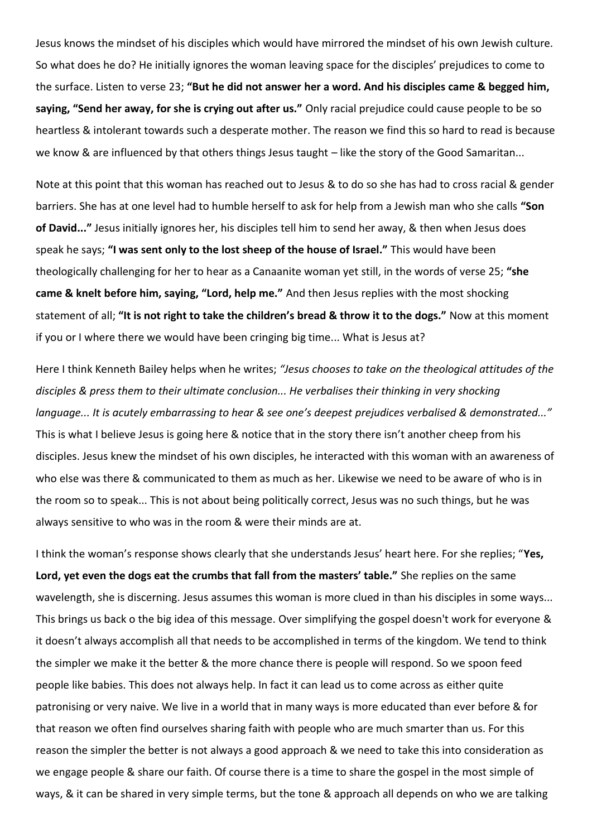Jesus knows the mindset of his disciples which would have mirrored the mindset of his own Jewish culture. So what does he do? He initially ignores the woman leaving space for the disciples' prejudices to come to the surface. Listen to verse 23; **"But he did not answer her a word. And his disciples came & begged him, saying, "Send her away, for she is crying out after us."** Only racial prejudice could cause people to be so heartless & intolerant towards such a desperate mother. The reason we find this so hard to read is because we know & are influenced by that others things Jesus taught – like the story of the Good Samaritan...

Note at this point that this woman has reached out to Jesus & to do so she has had to cross racial & gender barriers. She has at one level had to humble herself to ask for help from a Jewish man who she calls **"Son of David..."** Jesus initially ignores her, his disciples tell him to send her away, & then when Jesus does speak he says; **"I was sent only to the lost sheep of the house of Israel."** This would have been theologically challenging for her to hear as a Canaanite woman yet still, in the words of verse 25; **"she came & knelt before him, saying, "Lord, help me."** And then Jesus replies with the most shocking statement of all; **"It is not right to take the children's bread & throw it to the dogs."** Now at this moment if you or I where there we would have been cringing big time... What is Jesus at?

Here I think Kenneth Bailey helps when he writes; *"Jesus chooses to take on the theological attitudes of the disciples & press them to their ultimate conclusion... He verbalises their thinking in very shocking language... It is acutely embarrassing to hear & see one's deepest prejudices verbalised & demonstrated..."* This is what I believe Jesus is going here & notice that in the story there isn't another cheep from his disciples. Jesus knew the mindset of his own disciples, he interacted with this woman with an awareness of who else was there & communicated to them as much as her. Likewise we need to be aware of who is in the room so to speak... This is not about being politically correct, Jesus was no such things, but he was always sensitive to who was in the room & were their minds are at.

I think the woman's response shows clearly that she understands Jesus' heart here. For she replies; "**Yes, Lord, yet even the dogs eat the crumbs that fall from the masters' table."** She replies on the same wavelength, she is discerning. Jesus assumes this woman is more clued in than his disciples in some ways... This brings us back o the big idea of this message. Over simplifying the gospel doesn't work for everyone & it doesn't always accomplish all that needs to be accomplished in terms of the kingdom. We tend to think the simpler we make it the better & the more chance there is people will respond. So we spoon feed people like babies. This does not always help. In fact it can lead us to come across as either quite patronising or very naive. We live in a world that in many ways is more educated than ever before & for that reason we often find ourselves sharing faith with people who are much smarter than us. For this reason the simpler the better is not always a good approach & we need to take this into consideration as we engage people & share our faith. Of course there is a time to share the gospel in the most simple of ways, & it can be shared in very simple terms, but the tone & approach all depends on who we are talking